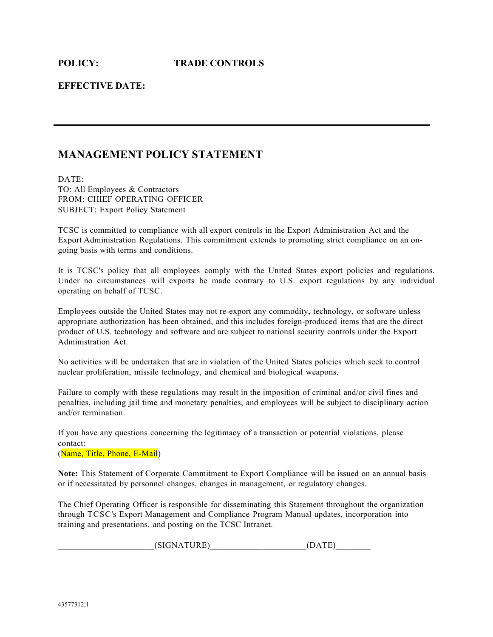**EFFECTIVE DATE:**

# **MANAGEMENT POLICY STATEMENT**

DATE: TO: All Employees & Contractors FROM: CHIEF OPERATING OFFICER SUBJECT: Export Policy Statement

TCSC is committed to compliance with all export controls in the Export Administration Act and the Export Administration Regulations. This commitment extends to promoting strict compliance on an ongoing basis with terms and conditions.

It is TCSC's policy that all employees comply with the United States export policies and regulations. Under no circumstances will exports be made contrary to U.S. export regulations by any individual operating on behalf of TCSC.

Employees outside the United States may not re-export any commodity, technology, or software unless appropriate authorization has been obtained, and this includes foreign-produced items that are the direct product of U.S. technology and software and are subject to national security controls under the Export Administration Act.

No activities will be undertaken that are in violation of the United States policies which seek to control nuclear proliferation, missile technology, and chemical and biological weapons.

Failure to comply with these regulations may result in the imposition of criminal and/or civil fines and penalties, including jail time and monetary penalties, and employees will be subject to disciplinary action and/or termination.

If you have any questions concerning the legitimacy of a transaction or potential violations, please contact:

(Name, Title, Phone, E-Mail)

**Note:** This Statement of Corporate Commitment to Export Compliance will be issued on an annual basis or if necessitated by personnel changes, changes in management, or regulatory changes.

The Chief Operating Officer is responsible for disseminating this Statement throughout the organization through TCSC's Export Management and Compliance Program Manual updates, incorporation into training and presentations, and posting on the TCSC Intranet.

 $(SIGNATURE)$  (DATE)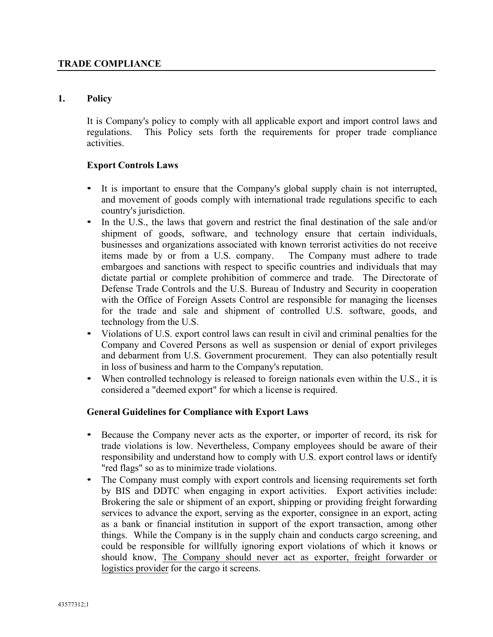### **1. Policy**

It is Company's policy to comply with all applicable export and import control laws and regulations. This Policy sets forth the requirements for proper trade compliance activities.

### **Export Controls Laws**

- It is important to ensure that the Company's global supply chain is not interrupted, and movement of goods comply with international trade regulations specific to each country's jurisdiction.
- In the U.S., the laws that govern and restrict the final destination of the sale and/or shipment of goods, software, and technology ensure that certain individuals, businesses and organizations associated with known terrorist activities do not receive items made by or from a U.S. company. The Company must adhere to trade embargoes and sanctions with respect to specific countries and individuals that may dictate partial or complete prohibition of commerce and trade. The Directorate of Defense Trade Controls and the U.S. Bureau of Industry and Security in cooperation with the Office of Foreign Assets Control are responsible for managing the licenses for the trade and sale and shipment of controlled U.S. software, goods, and technology from the U.S.
- Violations of U.S. export control laws can result in civil and criminal penalties for the Company and Covered Persons as well as suspension or denial of export privileges and debarment from U.S. Government procurement. They can also potentially result in loss of business and harm to the Company's reputation.
- When controlled technology is released to foreign nationals even within the U.S., it is considered a "deemed export" for which a license is required.

#### **General Guidelines for Compliance with Export Laws**

- Because the Company never acts as the exporter, or importer of record, its risk for trade violations is low. Nevertheless, Company employees should be aware of their responsibility and understand how to comply with U.S. export control laws or identify "red flags" so as to minimize trade violations.
- The Company must comply with export controls and licensing requirements set forth by BIS and DDTC when engaging in export activities. Export activities include: Brokering the sale or shipment of an export, shipping or providing freight forwarding services to advance the export, serving as the exporter, consignee in an export, acting as a bank or financial institution in support of the export transaction, among other things. While the Company is in the supply chain and conducts cargo screening, and could be responsible for willfully ignoring export violations of which it knows or should know, The Company should never act as exporter, freight forwarder or logistics provider for the cargo it screens.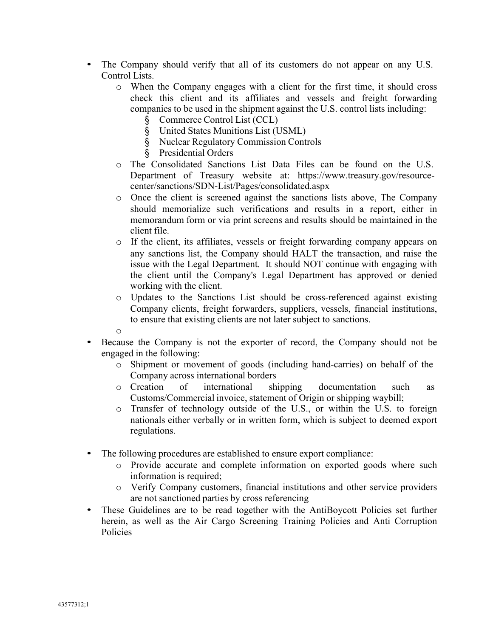- The Company should verify that all of its customers do not appear on any U.S. Control Lists.
	- o When the Company engages with a client for the first time, it should cross check this client and its affiliates and vessels and freight forwarding companies to be used in the shipment against the U.S. control lists including:
		- § Commerce Control List (CCL)
		- § United States Munitions List (USML)
		- § Nuclear Regulatory Commission Controls
		- § Presidential Orders
	- o The Consolidated Sanctions List Data Files can be found on the U.S. Department of Treasury website at: https://www.treasury.gov/resourcecenter/sanctions/SDN-List/Pages/consolidated.aspx
	- o Once the client is screened against the sanctions lists above, The Company should memorialize such verifications and results in a report, either in memorandum form or via print screens and results should be maintained in the client file.
	- o If the client, its affiliates, vessels or freight forwarding company appears on any sanctions list, the Company should HALT the transaction, and raise the issue with the Legal Department. It should NOT continue with engaging with the client until the Company's Legal Department has approved or denied working with the client.
	- o Updates to the Sanctions List should be cross-referenced against existing Company clients, freight forwarders, suppliers, vessels, financial institutions, to ensure that existing clients are not later subject to sanctions.
	- o
- Because the Company is not the exporter of record, the Company should not be engaged in the following:
	- o Shipment or movement of goods (including hand-carries) on behalf of the Company across international borders
	- o Creation of international shipping documentation such as Customs/Commercial invoice, statement of Origin or shipping waybill;
	- o Transfer of technology outside of the U.S., or within the U.S. to foreign nationals either verbally or in written form, which is subject to deemed export regulations.
- The following procedures are established to ensure export compliance:
	- o Provide accurate and complete information on exported goods where such information is required;
	- o Verify Company customers, financial institutions and other service providers are not sanctioned parties by cross referencing
- These Guidelines are to be read together with the AntiBoycott Policies set further herein, as well as the Air Cargo Screening Training Policies and Anti Corruption Policies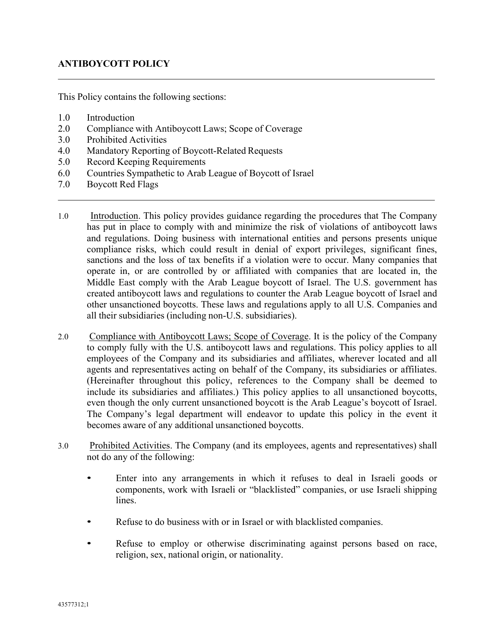# **ANTIBOYCOTT POLICY**

This Policy contains the following sections:

- 1.0 Introduction
- 2.0 Compliance with Antiboycott Laws; Scope of Coverage
- 3.0 Prohibited Activities
- 4.0 Mandatory Reporting of Boycott-Related Requests
- 5.0 Record Keeping Requirements
- 6.0 Countries Sympathetic to Arab League of Boycott of Israel
- 7.0 Boycott Red Flags
- 1.0 Introduction. This policy provides guidance regarding the procedures that The Company has put in place to comply with and minimize the risk of violations of antiboycott laws and regulations. Doing business with international entities and persons presents unique compliance risks, which could result in denial of export privileges, significant fines, sanctions and the loss of tax benefits if a violation were to occur. Many companies that operate in, or are controlled by or affiliated with companies that are located in, the Middle East comply with the Arab League boycott of Israel. The U.S. government has created antiboycott laws and regulations to counter the Arab League boycott of Israel and other unsanctioned boycotts. These laws and regulations apply to all U.S. Companies and all their subsidiaries (including non-U.S. subsidiaries).
- 2.0 Compliance with Antiboycott Laws; Scope of Coverage. It is the policy of the Company to comply fully with the U.S. antiboycott laws and regulations. This policy applies to all employees of the Company and its subsidiaries and affiliates, wherever located and all agents and representatives acting on behalf of the Company, its subsidiaries or affiliates. (Hereinafter throughout this policy, references to the Company shall be deemed to include its subsidiaries and affiliates.) This policy applies to all unsanctioned boycotts, even though the only current unsanctioned boycott is the Arab League's boycott of Israel. The Company's legal department will endeavor to update this policy in the event it becomes aware of any additional unsanctioned boycotts.
- 3.0 Prohibited Activities. The Company (and its employees, agents and representatives) shall not do any of the following:
	- Enter into any arrangements in which it refuses to deal in Israeli goods or components, work with Israeli or "blacklisted" companies, or use Israeli shipping lines.
	- Refuse to do business with or in Israel or with blacklisted companies.
	- Refuse to employ or otherwise discriminating against persons based on race, religion, sex, national origin, or nationality.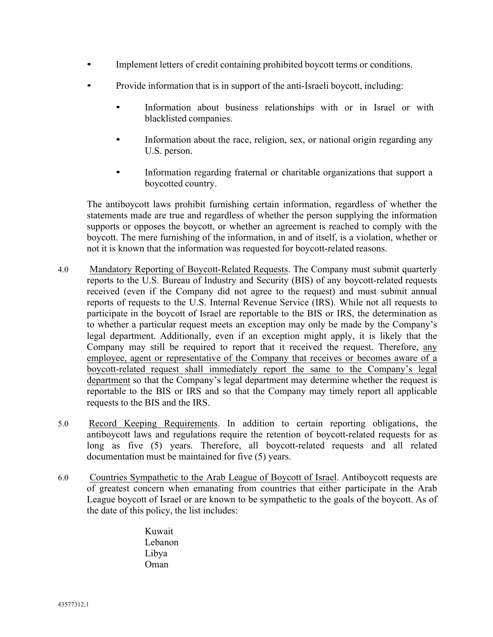- Implement letters of credit containing prohibited boycott terms or conditions.
- Provide information that is in support of the anti-Israeli boycott, including:
	- Information about business relationships with or in Israel or with blacklisted companies.
	- Information about the race, religion, sex, or national origin regarding any U.S. person.
	- Information regarding fraternal or charitable organizations that support a boycotted country.

The antiboycott laws prohibit furnishing certain information, regardless of whether the statements made are true and regardless of whether the person supplying the information supports or opposes the boycott, or whether an agreement is reached to comply with the boycott. The mere furnishing of the information, in and of itself, is a violation, whether or not it is known that the information was requested for boycott-related reasons.

- 4.0 Mandatory Reporting of Boycott-Related Requests. The Company must submit quarterly reports to the U.S. Bureau of Industry and Security (BIS) of any boycott-related requests received (even if the Company did not agree to the request) and must submit annual reports of requests to the U.S. Internal Revenue Service (IRS). While not all requests to participate in the boycott of Israel are reportable to the BIS or IRS, the determination as to whether a particular request meets an exception may only be made by the Company's legal department. Additionally, even if an exception might apply, it is likely that the Company may still be required to report that it received the request. Therefore, any employee, agent or representative of the Company that receives or becomes aware of a boycott-related request shall immediately report the same to the Company's legal department so that the Company's legal department may determine whether the request is reportable to the BIS or IRS and so that the Company may timely report all applicable requests to the BIS and the IRS.
- 5.0 Record Keeping Requirements. In addition to certain reporting obligations, the antiboycott laws and regulations require the retention of boycott-related requests for as long as five (5) years. Therefore, all boycott-related requests and all related documentation must be maintained for five (5) years.
- 6.0 Countries Sympathetic to the Arab League of Boycott of Israel. Antiboycott requests are of greatest concern when emanating from countries that either participate in the Arab League boycott of Israel or are known to be sympathetic to the goals of the boycott. As of the date of this policy, the list includes:
	- Kuwait Lebanon Libya Oman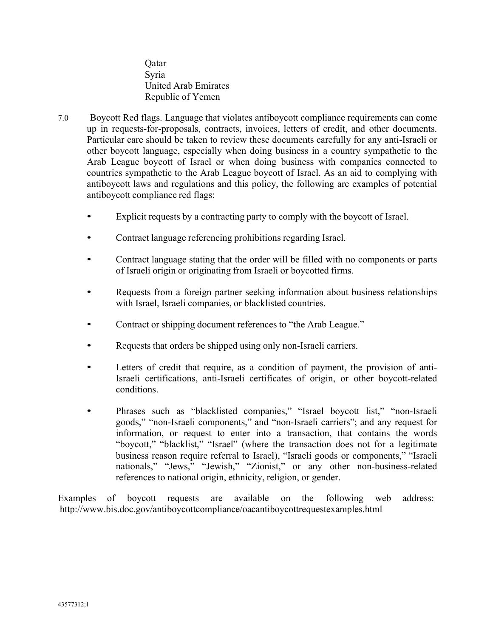Qatar Syria United Arab Emirates Republic of Yemen

- 7.0 Boycott Red flags. Language that violates antiboycott compliance requirements can come up in requests-for-proposals, contracts, invoices, letters of credit, and other documents. Particular care should be taken to review these documents carefully for any anti-Israeli or other boycott language, especially when doing business in a country sympathetic to the Arab League boycott of Israel or when doing business with companies connected to countries sympathetic to the Arab League boycott of Israel. As an aid to complying with antiboycott laws and regulations and this policy, the following are examples of potential antiboycott compliance red flags:
	- Explicit requests by a contracting party to comply with the boycott of Israel.
	- Contract language referencing prohibitions regarding Israel.
	- Contract language stating that the order will be filled with no components or parts of Israeli origin or originating from Israeli or boycotted firms.
	- Requests from a foreign partner seeking information about business relationships with Israel, Israeli companies, or blacklisted countries.
	- Contract or shipping document references to "the Arab League."
	- Requests that orders be shipped using only non-Israeli carriers.
	- Letters of credit that require, as a condition of payment, the provision of anti-Israeli certifications, anti-Israeli certificates of origin, or other boycott-related conditions.
	- Phrases such as "blacklisted companies," "Israel boycott list," "non-Israeli goods," "non-Israeli components," and "non-Israeli carriers"; and any request for information, or request to enter into a transaction, that contains the words "boycott," "blacklist," "Israel" (where the transaction does not for a legitimate business reason require referral to Israel), "Israeli goods or components," "Israeli nationals," "Jews," "Jewish," "Zionist," or any other non-business-related references to national origin, ethnicity, religion, or gender.

Examples of boycott requests are available on the following web address: http://www.bis.doc.gov/antiboycottcompliance/oacantiboycottrequestexamples.html